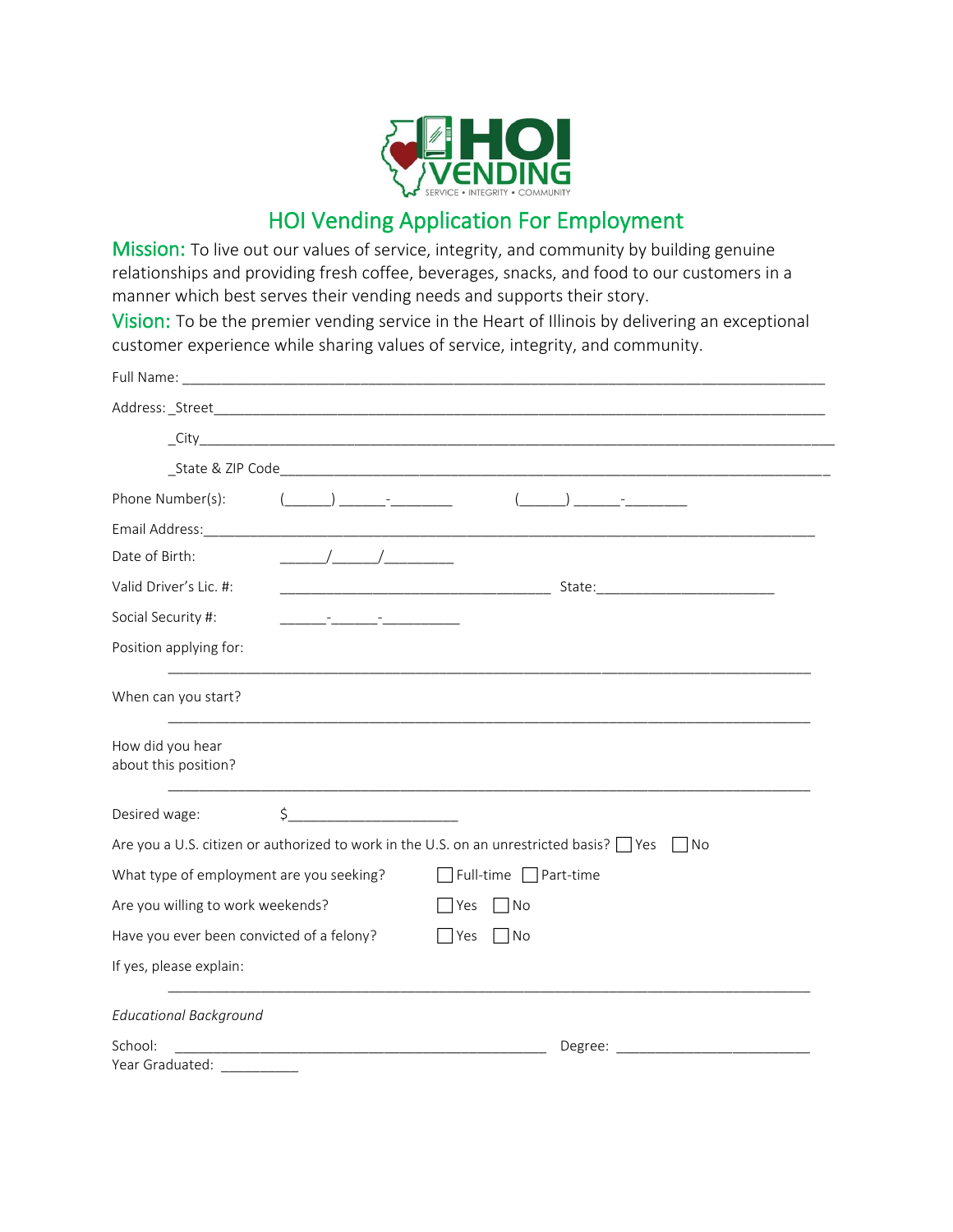

## HOI Vending Application For Employment

Mission: To live out our values of service, integrity, and community by building genuine relationships and providing fresh coffee, beverages, snacks, and food to our customers in a manner which best serves their vending needs and supports their story.

Vision: To be the premier vending service in the Heart of Illinois by delivering an exceptional customer experience while sharing values of service, integrity, and community.

| Phone Number(s):                                                                                                                | $($ ) $-$                             |                                                                                                                                                                                                                                |
|---------------------------------------------------------------------------------------------------------------------------------|---------------------------------------|--------------------------------------------------------------------------------------------------------------------------------------------------------------------------------------------------------------------------------|
|                                                                                                                                 |                                       | Email Address: www.communication.com/windows/windows/windows/windows/windows/windows/windows/windows/                                                                                                                          |
| Date of Birth:                                                                                                                  |                                       |                                                                                                                                                                                                                                |
| Valid Driver's Lic. #:                                                                                                          |                                       |                                                                                                                                                                                                                                |
| Social Security #:                                                                                                              | <u> 1999 - Johann Fernand, mars (</u> |                                                                                                                                                                                                                                |
| Position applying for:                                                                                                          |                                       |                                                                                                                                                                                                                                |
| When can you start?                                                                                                             |                                       |                                                                                                                                                                                                                                |
| How did you hear<br>about this position?                                                                                        |                                       |                                                                                                                                                                                                                                |
| Desired wage:                                                                                                                   | \$                                    |                                                                                                                                                                                                                                |
|                                                                                                                                 |                                       | Are you a U.S. citizen or authorized to work in the U.S. on an unrestricted basis? □ Yes<br>  No                                                                                                                               |
| What type of employment are you seeking?                                                                                        |                                       | Full-time Part-time                                                                                                                                                                                                            |
| Are you willing to work weekends?                                                                                               |                                       | l Yes<br>  No                                                                                                                                                                                                                  |
| Have you ever been convicted of a felony?                                                                                       |                                       | Yes<br> No                                                                                                                                                                                                                     |
| If yes, please explain:                                                                                                         |                                       |                                                                                                                                                                                                                                |
| <b>Educational Background</b>                                                                                                   |                                       |                                                                                                                                                                                                                                |
| School:<br><u> 1989 - Johann John Harry Harry Harry Harry Harry Harry Harry Harry Harry Harry Harry Harry Harry Harry Harry</u> |                                       | Degree: the contract of the contract of the contract of the contract of the contract of the contract of the contract of the contract of the contract of the contract of the contract of the contract of the contract of the co |
| Year Graduated:                                                                                                                 |                                       |                                                                                                                                                                                                                                |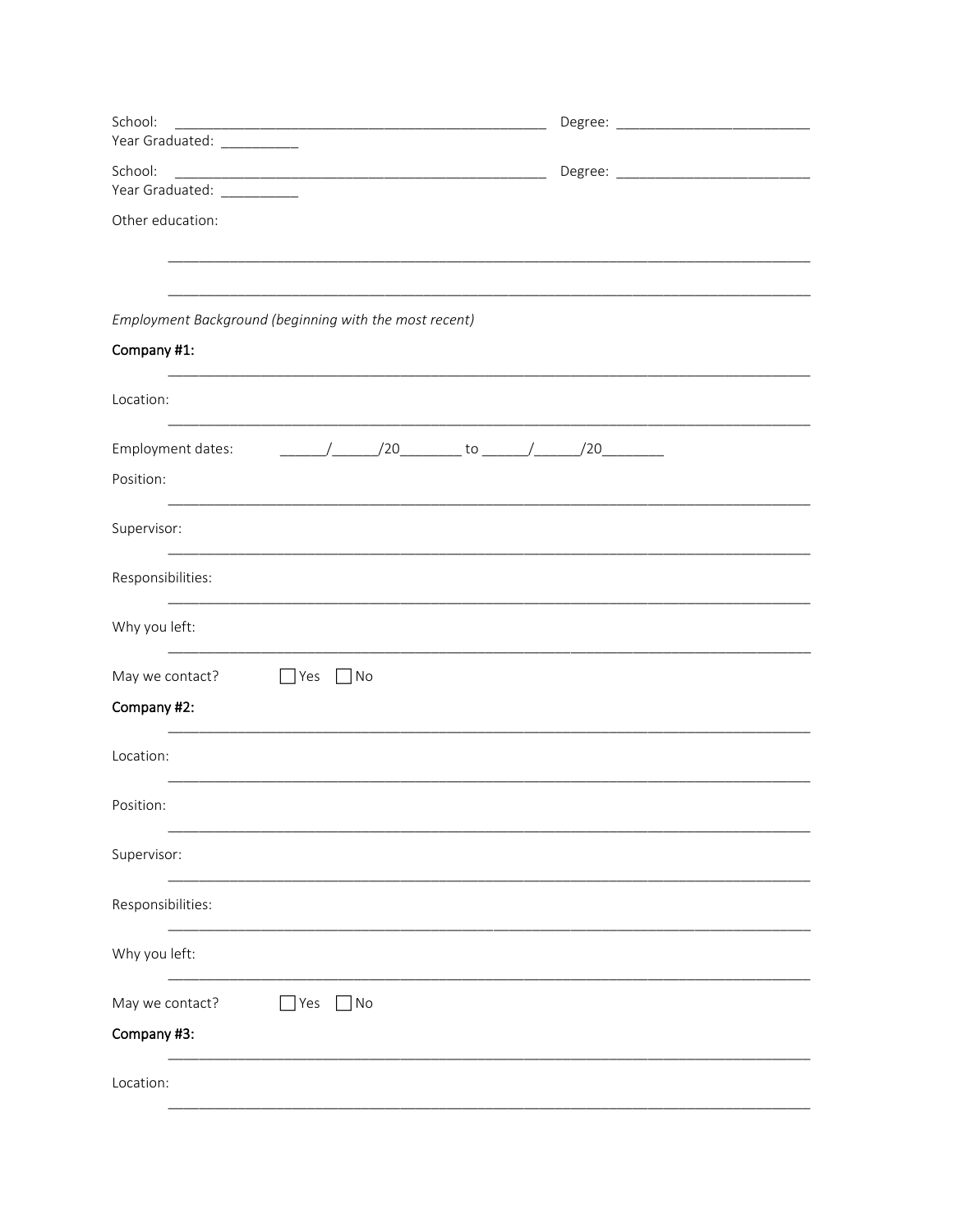| School:                                                |  |
|--------------------------------------------------------|--|
| Year Graduated: __________                             |  |
| School:                                                |  |
| Year Graduated: ___________                            |  |
| Other education:                                       |  |
|                                                        |  |
| Employment Background (beginning with the most recent) |  |
| Company #1:                                            |  |
| Location:                                              |  |
| Employment dates:                                      |  |
| Position:                                              |  |
| Supervisor:                                            |  |
| Responsibilities:                                      |  |
| Why you left:                                          |  |
| May we contact?<br>$\Box$ No<br>$\Box$ Yes             |  |
| Company #2:                                            |  |
| Location:                                              |  |
| Position:                                              |  |
| Supervisor:                                            |  |
| Responsibilities:                                      |  |
| Why you left:                                          |  |
| $\Box$ Yes<br>May we contact?<br>]No                   |  |
| Company #3:                                            |  |
| Location:                                              |  |